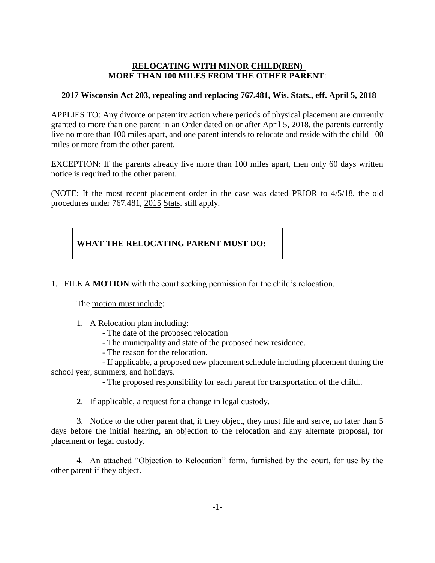### **RELOCATING WITH MINOR CHILD(REN) MORE THAN 100 MILES FROM THE OTHER PARENT**:

## **2017 Wisconsin Act 203, repealing and replacing 767.481, Wis. Stats., eff. April 5, 2018**

APPLIES TO: Any divorce or paternity action where periods of physical placement are currently granted to more than one parent in an Order dated on or after April 5, 2018, the parents currently live no more than 100 miles apart, and one parent intends to relocate and reside with the child 100 miles or more from the other parent.

EXCEPTION: If the parents already live more than 100 miles apart, then only 60 days written notice is required to the other parent.

(NOTE: If the most recent placement order in the case was dated PRIOR to 4/5/18, the old procedures under 767.481, 2015 Stats. still apply.

# **WHAT THE RELOCATING PARENT MUST DO:**

1. FILE A **MOTION** with the court seeking permission for the child's relocation.

The motion must include:

- 1. A Relocation plan including:
	- The date of the proposed relocation
	- The municipality and state of the proposed new residence.
	- The reason for the relocation.

- If applicable, a proposed new placement schedule including placement during the school year, summers, and holidays.

- The proposed responsibility for each parent for transportation of the child..

2. If applicable, a request for a change in legal custody.

3. Notice to the other parent that, if they object, they must file and serve, no later than 5 days before the initial hearing, an objection to the relocation and any alternate proposal, for placement or legal custody.

4. An attached "Objection to Relocation" form, furnished by the court, for use by the other parent if they object.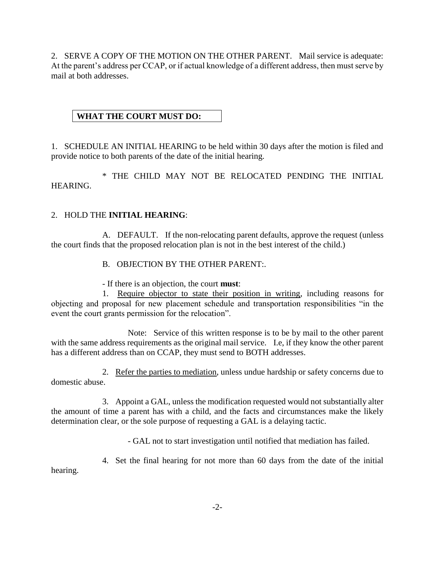2. SERVE A COPY OF THE MOTION ON THE OTHER PARENT. Mail service is adequate: At the parent's address per CCAP, or if actual knowledge of a different address, then must serve by mail at both addresses.

# **WHAT THE COURT MUST DO:**

1. SCHEDULE AN INITIAL HEARING to be held within 30 days after the motion is filed and provide notice to both parents of the date of the initial hearing.

\* THE CHILD MAY NOT BE RELOCATED PENDING THE INITIAL HEARING.

## 2. HOLD THE **INITIAL HEARING**:

A. DEFAULT. If the non-relocating parent defaults, approve the request (unless the court finds that the proposed relocation plan is not in the best interest of the child.)

B. OBJECTION BY THE OTHER PARENT:.

- If there is an objection, the court **must**:

1. Require objector to state their position in writing, including reasons for objecting and proposal for new placement schedule and transportation responsibilities "in the event the court grants permission for the relocation".

Note: Service of this written response is to be by mail to the other parent with the same address requirements as the original mail service. I.e, if they know the other parent has a different address than on CCAP, they must send to BOTH addresses.

2. Refer the parties to mediation, unless undue hardship or safety concerns due to domestic abuse.

3. Appoint a GAL, unless the modification requested would not substantially alter the amount of time a parent has with a child, and the facts and circumstances make the likely determination clear, or the sole purpose of requesting a GAL is a delaying tactic.

- GAL not to start investigation until notified that mediation has failed.

4. Set the final hearing for not more than 60 days from the date of the initial hearing.